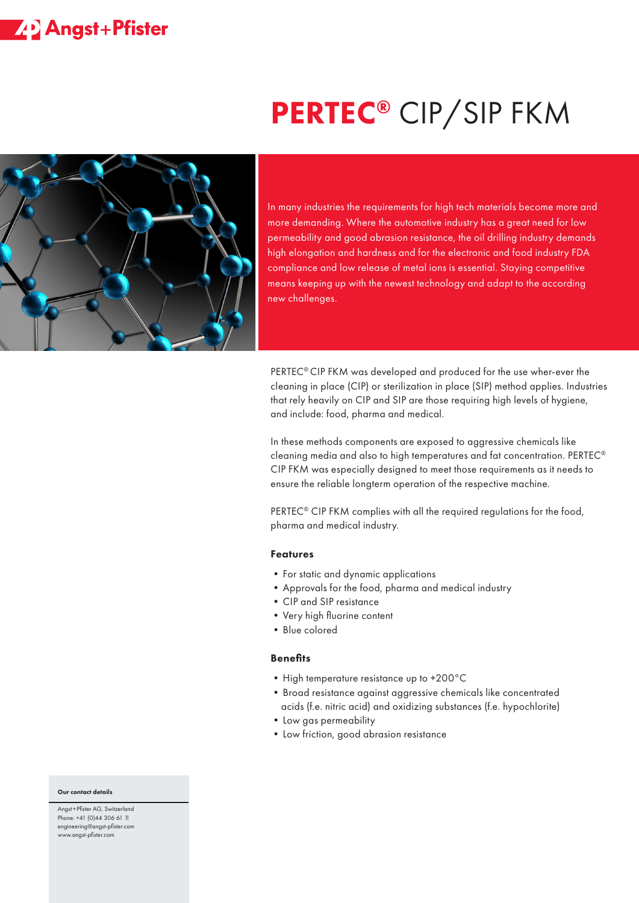## **ZP** Angst+Pfister

# PERTEC<sup>®</sup> CIP/SIP FKM



In many industries the requirements for high tech materials become more and more demanding. Where the automotive industry has a great need for low permeability and good abrasion resistance, the oil drilling industry demands high elongation and hardness and for the electronic and food industry FDA compliance and low release of metal ions is essential. Staying competitive means keeping up with the newest technology and adapt to the according new challenges.

PERTEC® CIP FKM was developed and produced for the use wher-ever the cleaning in place (CIP) or sterilization in place (SIP) method applies. Industries that rely heavily on CIP and SIP are those requiring high levels of hygiene, and include: food, pharma and medical.

In these methods components are exposed to aggressive chemicals like cleaning media and also to high temperatures and fat concentration. PERTEC® CIP FKM was especially designed to meet those requirements as it needs to ensure the reliable longterm operation of the respective machine.

PERTEC<sup>®</sup> CIP FKM complies with all the required regulations for the food, pharma and medical industry.

#### Features

- For static and dynamic applications
- •Approvals for the food, pharma and medical industry
- •CIP and SIP resistance
- •Very high fluorine content
- •Blue colored

#### **Benefits**

- High temperature resistance up to +200°C
- •Broad resistance against aggressive chemicals like concentrated acids (f.e. nitric acid) and oxidizing substances (f.e. hypochlorite)
- •Low gas permeability
- •Low friction, good abrasion resistance

#### Our contact details

Angst +Pfister AG, Switzerland Phone: +41 (0)44 306 61 11 engineering@angst-pfister.com www.angst-pfister.com